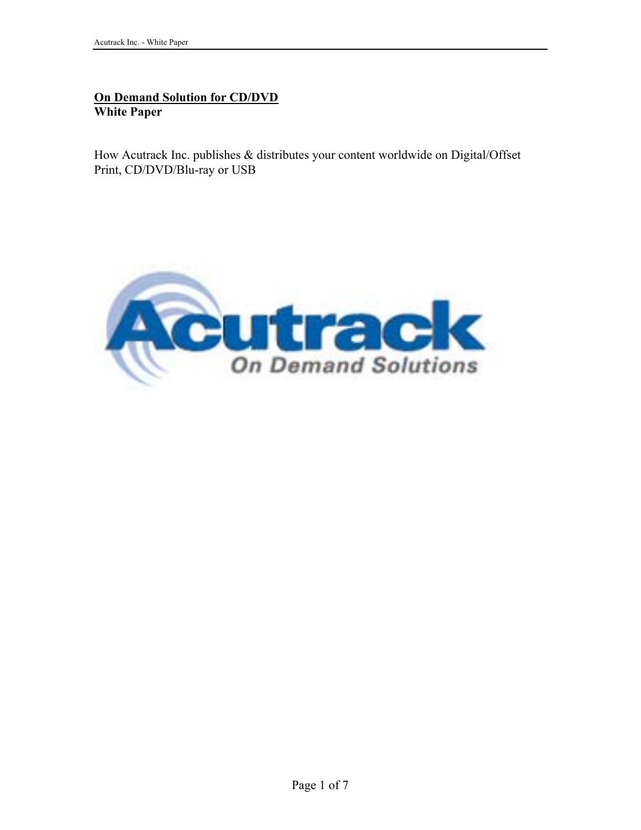## **On Demand Solution for CD/DVD White Paper**

How Acutrack Inc. publishes & distributes your content worldwide on Digital/Offset Print, CD/DVD/Blu-ray or USB

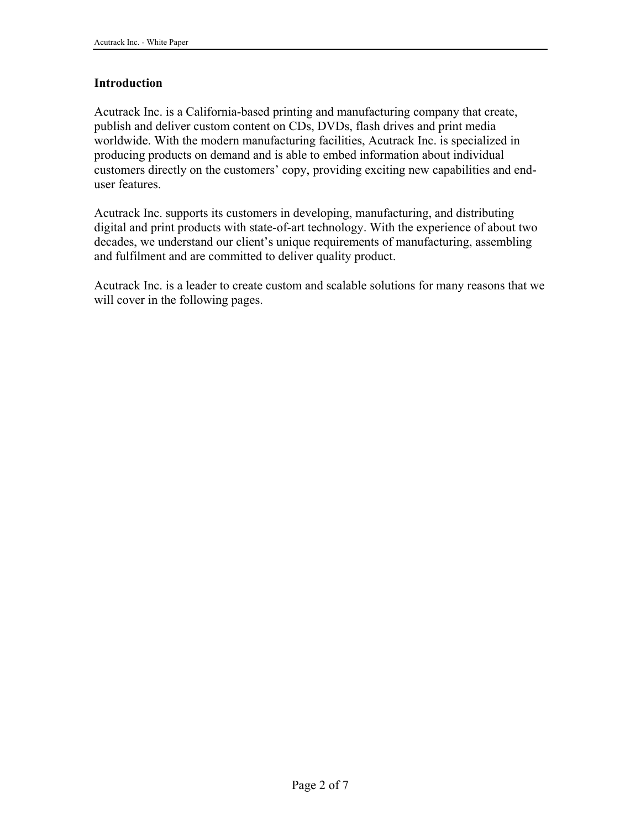#### **Introduction**

Acutrack Inc. is a California-based printing and manufacturing company that create, publish and deliver custom content on CDs, DVDs, flash drives and print media worldwide. With the modern manufacturing facilities, Acutrack Inc. is specialized in producing products on demand and is able to embed information about individual customers directly on the customers' copy, providing exciting new capabilities and enduser features.

Acutrack Inc. supports its customers in developing, manufacturing, and distributing digital and print products with state-of-art technology. With the experience of about two decades, we understand our client's unique requirements of manufacturing, assembling and fulfilment and are committed to deliver quality product.

Acutrack Inc. is a leader to create custom and scalable solutions for many reasons that we will cover in the following pages.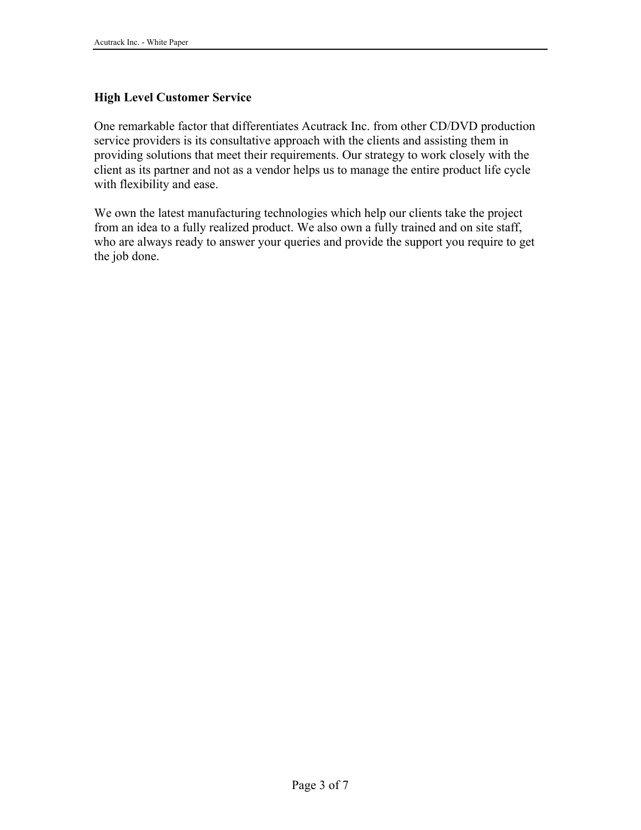## **High Level Customer Service**

One remarkable factor that differentiates Acutrack Inc. from other CD/DVD production service providers is its consultative approach with the clients and assisting them in providing solutions that meet their requirements. Our strategy to work closely with the client as its partner and not as a vendor helps us to manage the entire product life cycle with flexibility and ease.

We own the latest manufacturing technologies which help our clients take the project from an idea to a fully realized product. We also own a fully trained and on site staff, who are always ready to answer your queries and provide the support you require to get the job done.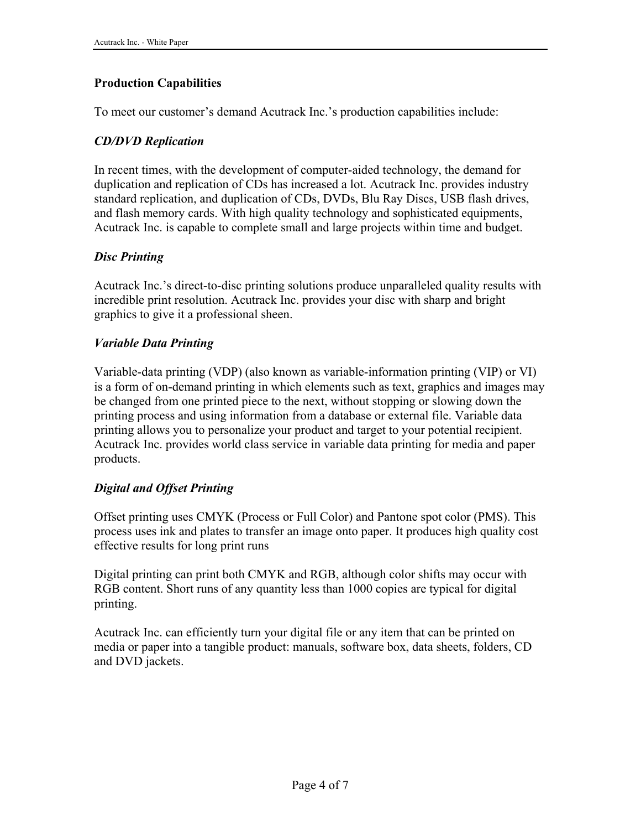## **Production Capabilities**

To meet our customer's demand Acutrack Inc.'s production capabilities include:

## *CD/DVD Replication*

In recent times, with the development of computer-aided technology, the demand for duplication and replication of CDs has increased a lot. Acutrack Inc. provides industry standard replication, and duplication of CDs, DVDs, Blu Ray Discs, USB flash drives, and flash memory cards. With high quality technology and sophisticated equipments, Acutrack Inc. is capable to complete small and large projects within time and budget.

# *Disc Printing*

Acutrack Inc.'s direct-to-disc printing solutions produce unparalleled quality results with incredible print resolution. Acutrack Inc. provides your disc with sharp and bright graphics to give it a professional sheen.

## *Variable Data Printing*

Variable-data printing (VDP) (also known as variable-information printing (VIP) or VI) is a form of on-demand printing in which elements such as text, graphics and images may be changed from one printed piece to the next, without stopping or slowing down the printing process and using information from a database or external file. Variable data printing allows you to personalize your product and target to your potential recipient. Acutrack Inc. provides world class service in variable data printing for media and paper products.

## *Digital and Offset Printing*

Offset printing uses CMYK (Process or Full Color) and Pantone spot color (PMS). This process uses ink and plates to transfer an image onto paper. It produces high quality cost effective results for long print runs

Digital printing can print both CMYK and RGB, although color shifts may occur with RGB content. Short runs of any quantity less than 1000 copies are typical for digital printing.

Acutrack Inc. can efficiently turn your digital file or any item that can be printed on media or paper into a tangible product: manuals, software box, data sheets, folders, CD and DVD jackets.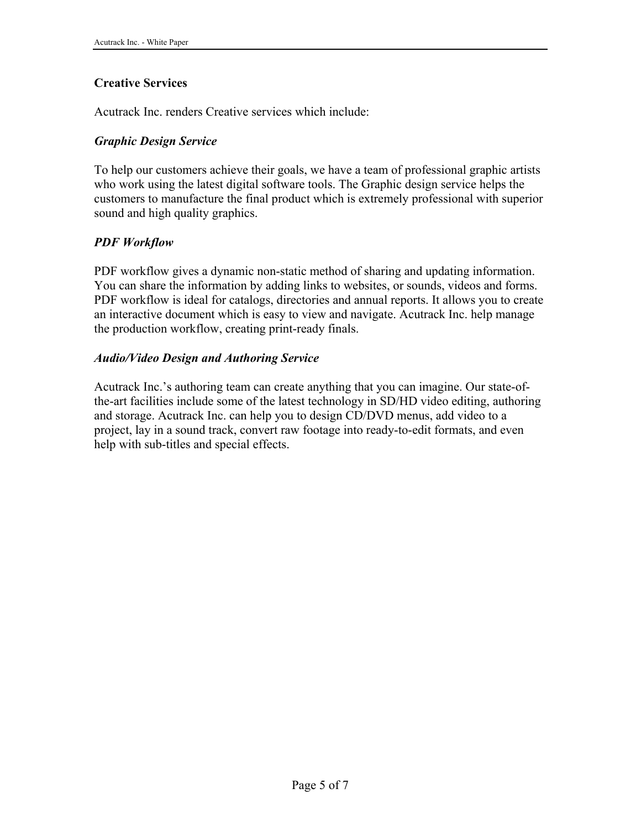## **Creative Services**

Acutrack Inc. renders Creative services which include:

#### *Graphic Design Service*

To help our customers achieve their goals, we have a team of professional graphic artists who work using the latest digital software tools. The Graphic design service helps the customers to manufacture the final product which is extremely professional with superior sound and high quality graphics.

## *PDF Workflow*

PDF workflow gives a dynamic non-static method of sharing and updating information. You can share the information by adding links to websites, or sounds, videos and forms. PDF workflow is ideal for catalogs, directories and annual reports. It allows you to create an interactive document which is easy to view and navigate. Acutrack Inc. help manage the production workflow, creating print-ready finals.

#### *Audio/Video Design and Authoring Service*

Acutrack Inc.'s authoring team can create anything that you can imagine. Our state-ofthe-art facilities include some of the latest technology in SD/HD video editing, authoring and storage. Acutrack Inc. can help you to design CD/DVD menus, add video to a project, lay in a sound track, convert raw footage into ready-to-edit formats, and even help with sub-titles and special effects.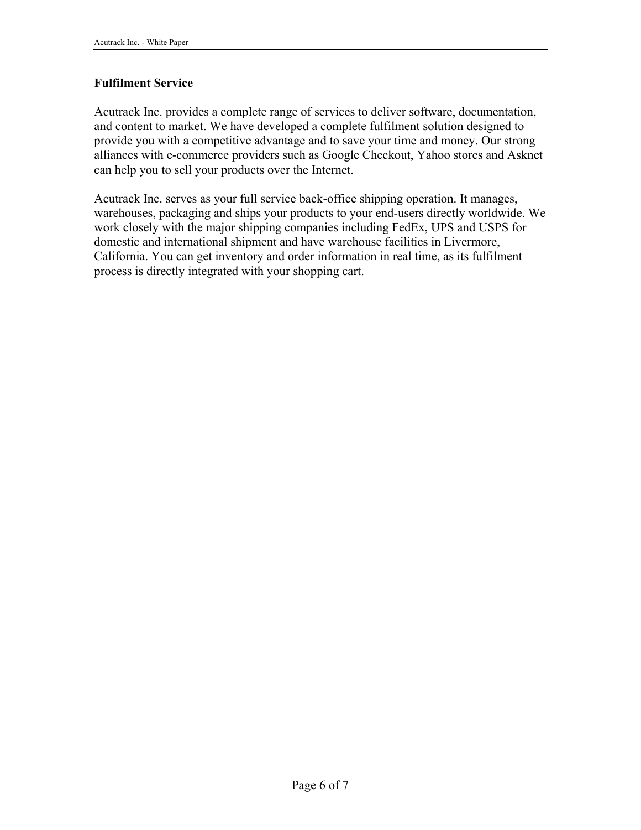### **Fulfilment Service**

Acutrack Inc. provides a complete range of services to deliver software, documentation, and content to market. We have developed a complete fulfilment solution designed to provide you with a competitive advantage and to save your time and money. Our strong alliances with e-commerce providers such as Google Checkout, Yahoo stores and Asknet can help you to sell your products over the Internet.

Acutrack Inc. serves as your full service back-office shipping operation. It manages, warehouses, packaging and ships your products to your end-users directly worldwide. We work closely with the major shipping companies including FedEx, UPS and USPS for domestic and international shipment and have warehouse facilities in Livermore, California. You can get inventory and order information in real time, as its fulfilment process is directly integrated with your shopping cart.